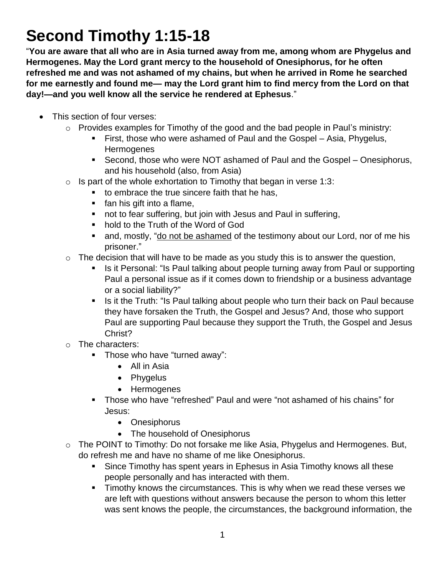## **Second Timothy 1:15-18**

"**You are aware that all who are in Asia turned away from me, among whom are Phygelus and Hermogenes. May the Lord grant mercy to the household of Onesiphorus, for he often refreshed me and was not ashamed of my chains, but when he arrived in Rome he searched for me earnestly and found me— may the Lord grant him to find mercy from the Lord on that day!—and you well know all the service he rendered at Ephesus**."

- This section of four verses:
	- o Provides examples for Timothy of the good and the bad people in Paul's ministry:
		- First, those who were ashamed of Paul and the Gospel Asia, Phygelus, **Hermogenes**
		- Second, those who were NOT ashamed of Paul and the Gospel Onesiphorus, and his household (also, from Asia)
	- $\circ$  Is part of the whole exhortation to Timothy that began in verse 1:3:
		- to embrace the true sincere faith that he has,
		- **fan his gift into a flame,**
		- not to fear suffering, but join with Jesus and Paul in suffering,
		- hold to the Truth of the Word of God
		- and, mostly, "do not be ashamed of the testimony about our Lord, nor of me his prisoner."
	- $\circ$  The decision that will have to be made as you study this is to answer the question,
		- Is it Personal: "Is Paul talking about people turning away from Paul or supporting Paul a personal issue as if it comes down to friendship or a business advantage or a social liability?"
		- Is it the Truth: "Is Paul talking about people who turn their back on Paul because they have forsaken the Truth, the Gospel and Jesus? And, those who support Paul are supporting Paul because they support the Truth, the Gospel and Jesus Christ?
	- o The characters:
		- **Those who have "turned away":** 
			- All in Asia
			- Phygelus
			- Hermogenes
		- Those who have "refreshed" Paul and were "not ashamed of his chains" for Jesus:
			- Onesiphorus
			- The household of Onesiphorus
	- $\circ$  The POINT to Timothy: Do not forsake me like Asia, Phygelus and Hermogenes. But, do refresh me and have no shame of me like Onesiphorus.
		- **Since Timothy has spent years in Ephesus in Asia Timothy knows all these** people personally and has interacted with them.
		- **Timothy knows the circumstances. This is why when we read these verses we** are left with questions without answers because the person to whom this letter was sent knows the people, the circumstances, the background information, the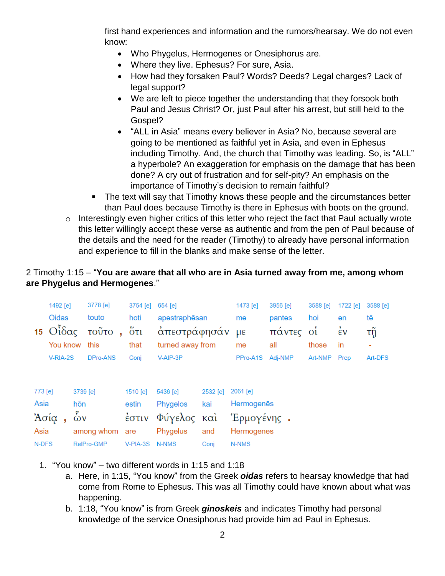first hand experiences and information and the rumors/hearsay. We do not even know:

- Who Phygelus, Hermogenes or Onesiphorus are.
- Where they live. Ephesus? For sure, Asia.
- How had they forsaken Paul? Words? Deeds? Legal charges? Lack of legal support?
- We are left to piece together the understanding that they forsook both Paul and Jesus Christ? Or, just Paul after his arrest, but still held to the Gospel?
- "ALL in Asia" means every believer in Asia? No, because several are going to be mentioned as faithful yet in Asia, and even in Ephesus including Timothy. And, the church that Timothy was leading. So, is "ALL" a hyperbole? An exaggeration for emphasis on the damage that has been done? A cry out of frustration and for self-pity? An emphasis on the importance of Timothy's decision to remain faithful?
- The text will say that Timothy knows these people and the circumstances better than Paul does because Timothy is there in Ephesus with boots on the ground.
- $\circ$  Interestingly even higher critics of this letter who reject the fact that Paul actually wrote this letter willingly accept these verse as authentic and from the pen of Paul because of the details and the need for the reader (Timothy) to already have personal information and experience to fill in the blanks and make sense of the letter.

## 2 Timothy 1:15 – "**You are aware that all who are in Asia turned away from me, among whom are Phygelus and Hermogenes**."

|         | 1492 [e]<br><b>Oidas</b><br>$15$ Οιδας<br>You know |            | 3778 [e]<br>touto<br>τοῦτο,<br>this | 3754 [e]<br>hoti<br>$5\tau$<br>that | $654$ [e]<br>apestraphēsan<br>απεστράφησάν<br>turned away from |          | 1473 [e]<br>me<br>$\mu \varepsilon$<br>me | 3956 [e]<br>pantes<br>πάντες οί<br>all | 3588 [e]<br>hoi<br>those | 1722 [e]<br>en<br>$\dot{\epsilon}$ v<br>in | 3588 [e]<br>tē<br>τņ<br>۰ |  |  |
|---------|----------------------------------------------------|------------|-------------------------------------|-------------------------------------|----------------------------------------------------------------|----------|-------------------------------------------|----------------------------------------|--------------------------|--------------------------------------------|---------------------------|--|--|
|         | V-RIA-2S                                           |            | DPro-ANS                            | Conj                                | V-AIP-3P                                                       |          | PPro-A1S                                  | Adi-NMP                                | Art-NMP                  | Prep                                       | Art-DFS                   |  |  |
| 773 [e] |                                                    | 3739 [e]   |                                     | 1510 [e]                            | 5436 [e]                                                       | 2532 [e] | 2061 [e]                                  |                                        |                          |                                            |                           |  |  |
| Asia    |                                                    | hōn        |                                     | estin                               | kai<br>Phygelos                                                |          | Hermogenes                                |                                        |                          |                                            |                           |  |  |
| Ἀσία    |                                                    | $\delta v$ |                                     |                                     | έστιν Φύγελος και                                              |          | Έρμογένης.                                |                                        |                          |                                            |                           |  |  |
| Asia    |                                                    |            | among whom                          | are                                 | Phygelus                                                       | and      | Hermogenes                                |                                        |                          |                                            |                           |  |  |
| N-DFS   |                                                    |            | RelPro-GMP<br>V-PIA-3S              |                                     | N-NMS                                                          | Conj     | N-NMS                                     |                                        |                          |                                            |                           |  |  |

- 1. "You know" two different words in 1:15 and 1:18
	- a. Here, in 1:15, "You know" from the Greek *oidas* refers to hearsay knowledge that had come from Rome to Ephesus. This was all Timothy could have known about what was happening.
	- b. 1:18, "You know" is from Greek *ginoskeis* and indicates Timothy had personal knowledge of the service Onesiphorus had provide him ad Paul in Ephesus.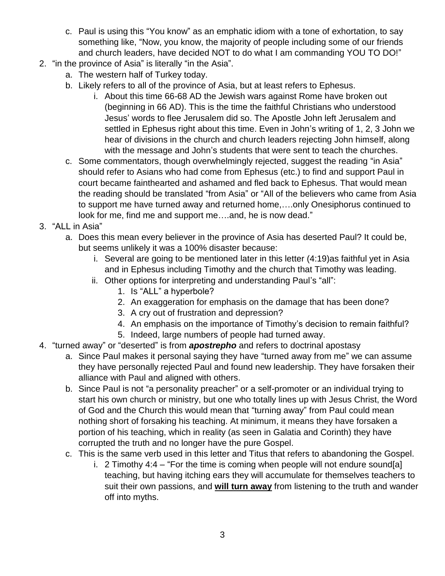- c. Paul is using this "You know" as an emphatic idiom with a tone of exhortation, to say something like, "Now, you know, the majority of people including some of our friends and church leaders, have decided NOT to do what I am commanding YOU TO DO!"
- 2. "in the province of Asia" is literally "in the Asia".
	- a. The western half of Turkey today.
	- b. Likely refers to all of the province of Asia, but at least refers to Ephesus.
		- i. About this time 66-68 AD the Jewish wars against Rome have broken out (beginning in 66 AD). This is the time the faithful Christians who understood Jesus' words to flee Jerusalem did so. The Apostle John left Jerusalem and settled in Ephesus right about this time. Even in John's writing of 1, 2, 3 John we hear of divisions in the church and church leaders rejecting John himself, along with the message and John's students that were sent to teach the churches.
	- c. Some commentators, though overwhelmingly rejected, suggest the reading "in Asia" should refer to Asians who had come from Ephesus (etc.) to find and support Paul in court became fainthearted and ashamed and fled back to Ephesus. That would mean the reading should be translated "from Asia" or "All of the believers who came from Asia to support me have turned away and returned home,….only Onesiphorus continued to look for me, find me and support me....and, he is now dead."
- 3. "ALL in Asia"
	- a. Does this mean every believer in the province of Asia has deserted Paul? It could be, but seems unlikely it was a 100% disaster because:
		- i. Several are going to be mentioned later in this letter (4:19)as faithful yet in Asia and in Ephesus including Timothy and the church that Timothy was leading.
		- ii. Other options for interpreting and understanding Paul's "all":
			- 1. Is "ALL" a hyperbole?
			- 2. An exaggeration for emphasis on the damage that has been done?
			- 3. A cry out of frustration and depression?
			- 4. An emphasis on the importance of Timothy's decision to remain faithful?
			- 5. Indeed, large numbers of people had turned away.
- 4. "turned away" or "deserted" is from *apostrepho* and refers to doctrinal apostasy
	- a. Since Paul makes it personal saying they have "turned away from me" we can assume they have personally rejected Paul and found new leadership. They have forsaken their alliance with Paul and aligned with others.
	- b. Since Paul is not "a personality preacher" or a self-promoter or an individual trying to start his own church or ministry, but one who totally lines up with Jesus Christ, the Word of God and the Church this would mean that "turning away" from Paul could mean nothing short of forsaking his teaching. At minimum, it means they have forsaken a portion of his teaching, which in reality (as seen in Galatia and Corinth) they have corrupted the truth and no longer have the pure Gospel.
	- c. This is the same verb used in this letter and Titus that refers to abandoning the Gospel.
		- i. 2 Timothy  $4:4 -$  "For the time is coming when people will not endure sound[a] teaching, but having itching ears they will accumulate for themselves teachers to suit their own passions, and **will turn away** from listening to the truth and wander off into myths.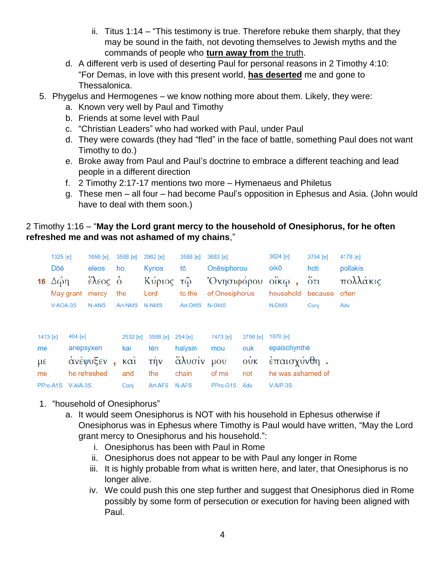- ii. Titus 1:14 "This testimony is true. Therefore rebuke them sharply, that they may be sound in the faith, not devoting themselves to Jewish myths and the commands of people who **turn away from** the truth.
- d. A different verb is used of deserting Paul for personal reasons in 2 Timothy 4:10: "For Demas, in love with this present world, **has deserted** me and gone to Thessalonica.
- 5. Phygelus and Hermogenes we know nothing more about them. Likely, they were:
	- a. Known very well by Paul and Timothy
	- b. Friends at some level with Paul
	- c. "Christian Leaders" who had worked with Paul, under Paul
	- d. They were cowards (they had "fled" in the face of battle, something Paul does not want Timothy to do.)
	- e. Broke away from Paul and Paul's doctrine to embrace a different teaching and lead people in a different direction
	- f. 2 Timothy 2:17-17 mentions two more Hymenaeus and Philetus
	- g. These men all four had become Paul's opposition in Ephesus and Asia. (John would have to deal with them soon.)

## 2 Timothy 1:16 – "**May the Lord grant mercy to the household of Onesiphorus, for he often refreshed me and was not ashamed of my chains**,"

|                   | 1325 [e]                       |           | 1656 [e]     | 3588 [e]            | 2962 [e]         | 3588 [e]   | 3683 [e]                |                | 3624 [e]          | 3754 [e]             | 4178 [e]     |  |
|-------------------|--------------------------------|-----------|--------------|---------------------|------------------|------------|-------------------------|----------------|-------------------|----------------------|--------------|--|
|                   | Dōē                            |           | eleos        | ho                  | <b>Kyrios</b>    | tō         | Onesiphorou             |                | oikō              | hoti                 | pollakis     |  |
| 16                | Δώη<br>May grant<br>$V-AOA-3S$ |           | έλεος δ      |                     | Κύριος           | τῶ         | Όνησιφόρου              |                | $o$ ἴκ $\omega$ , | $\ddot{\text{o}}$ ti | πολλάκις     |  |
|                   |                                |           | mercy        | the                 | Lord             | to the     | of Onesiphorus<br>N-GMS |                | household         | because              | often<br>Adv |  |
|                   |                                |           | N-ANS        | Art-NMS             | N-NMS            | Art-DMS    |                         |                | N-DMS             | Conj                 |              |  |
|                   |                                |           |              |                     |                  |            |                         |                |                   |                      |              |  |
|                   |                                |           |              |                     |                  |            |                         |                |                   |                      |              |  |
| 1473 [e]          |                                | 404 [e]   |              | 2532 [e]            | 3588 [e]         | $254$ [e]  | 1473 [e]                | 3756 [e]       | 1870 [e]          |                      |              |  |
| me                |                                | anepsyxen |              | kai                 | tēn              | halysin    | mou                     | ouk            | epaischynthe      |                      |              |  |
| $\mu \varepsilon$ |                                |           | ανέψυξεν     | $\kappa$ $\alpha i$ | $\vec{\text{m}}$ | άλυσίν μου |                         | $\vec{\omega}$ | έπαισχύνθη.       |                      |              |  |
| me                |                                |           | he refreshed | and                 | the              | chain      | of me                   | not            | he was ashamed of |                      |              |  |
|                   | PPro-A1S                       | V-AIA-3S  |              | Coni                | Art-AFS          | N-AFS      | PPro-G1S                | Adv            | V-AIP-3S          |                      |              |  |

- 1. "household of Onesiphorus"
	- a. It would seem Onesiphorus is NOT with his household in Ephesus otherwise if Onesiphorus was in Ephesus where Timothy is Paul would have written, "May the Lord grant mercy to Onesiphorus and his household.":
		- i. Onesiphorus has been with Paul in Rome
		- ii. Onesiphorus does not appear to be with Paul any longer in Rome
		- iii. It is highly probable from what is written here, and later, that Onesiphorus is no longer alive.
		- iv. We could push this one step further and suggest that Onesiphorus died in Rome possibly by some form of persecution or execution for having been aligned with Paul.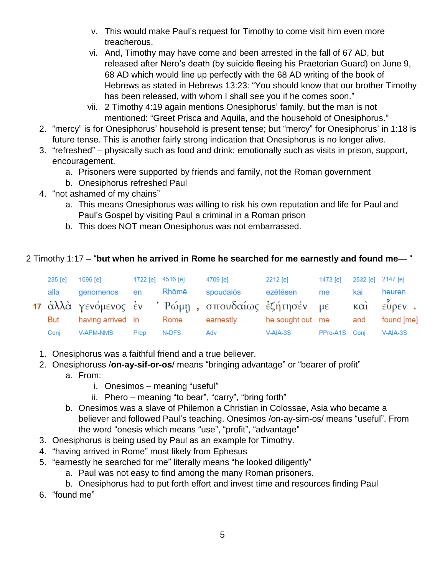- v. This would make Paul's request for Timothy to come visit him even more treacherous.
- vi. And, Timothy may have come and been arrested in the fall of 67 AD, but released after Nero's death (by suicide fleeing his Praetorian Guard) on June 9, 68 AD which would line up perfectly with the 68 AD writing of the book of Hebrews as stated in Hebrews 13:23: "You should know that our brother Timothy has been released, with whom I shall see you if he comes soon."
- vii. 2 Timothy 4:19 again mentions Onesiphorus' family, but the man is not mentioned: "Greet Prisca and Aquila, and the household of Onesiphorus."
- 2. "mercy" is for Onesiphorus' household is present tense; but "mercy" for Onesiphorus' in 1:18 is future tense. This is another fairly strong indication that Onesiphorus is no longer alive.
- 3. "refreshed" physically such as food and drink; emotionally such as visits in prison, support, encouragement.
	- a. Prisoners were supported by friends and family, not the Roman government
	- b. Onesiphorus refreshed Paul
- 4. "not ashamed of my chains"
	- a. This means Onesiphorus was willing to risk his own reputation and life for Paul and Paul's Gospel by visiting Paul a criminal in a Roman prison
	- b. This does NOT mean Onesiphorus was not embarrassed.

## 2 Timothy 1:17 – "**but when he arrived in Rome he searched for me earnestly and found me**— "

| $235$ [e] | 1096 [e]          | 1722 [e] 4516 [e] |       | 4709 [e]                                            | 2212 [e]         | 1473 [e]      | 2532 [e] 2147 [e] |            |
|-----------|-------------------|-------------------|-------|-----------------------------------------------------|------------------|---------------|-------------------|------------|
| alla      | genomenos         | en                | Rhōmē | spoudaiōs                                           | ezētēsen         | me            | kai               | heuren     |
|           |                   |                   |       | 17 ἀλλὰ γενόμενος ἐν ' Ρώμη , σπουδαίως ἐζήτησέν με |                  |               |                   | και εύρεν. |
| But       | having arrived in |                   | Rome  | earnestly                                           | he sought out me |               | and               | found [me] |
| Conj      | V-APM-NMS         | Prep              | N-DFS | Adv                                                 | $V-AIA-3S$       | PPro-A1S Conj |                   | V-AIA-3S   |

- 1. Onesiphorus was a faithful friend and a true believer.
- 2. Onesiphoruss /**on-ay-sif-or-os**/ means "bringing advantage" or "bearer of profit"
	- a. From:
		- i. Onesimos meaning "useful"
		- ii. Phero meaning "to bear", "carry", "bring forth"
	- b. Onesimos was a slave of Philemon a Christian in Colossae, Asia who became a believer and followed Paul's teaching. Onesimos /on-ay-sim-os/ means "useful". From the word "onesis which means "use", "profit", "advantage"
- 3. Onesiphorus is being used by Paul as an example for Timothy.
- 4. "having arrived in Rome" most likely from Ephesus
- 5. "earnestly he searched for me" literally means "he looked diligently"
	- a. Paul was not easy to find among the many Roman prisoners.
	- b. Onesiphorus had to put forth effort and invest time and resources finding Paul
- 6. "found me"